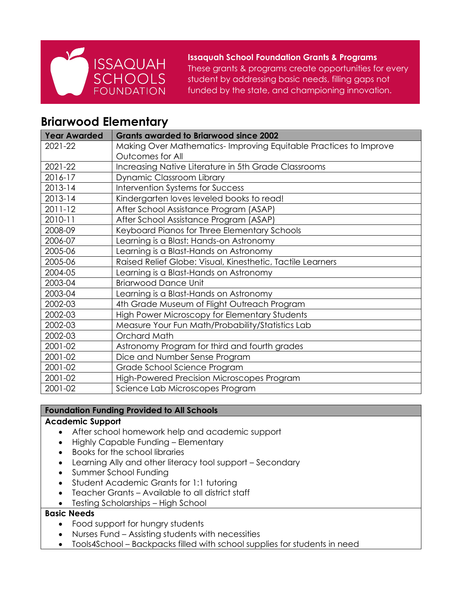

**Issaquah School Foundation Grants & Programs**

These grants & programs create opportunities for every student by addressing basic needs, filling gaps not funded by the state, and championing innovation.

# **Briarwood Elementary**

| <b>Year Awarded</b> | <b>Grants awarded to Briarwood since 2002</b>                    |
|---------------------|------------------------------------------------------------------|
| 2021-22             | Making Over Mathematics-Improving Equitable Practices to Improve |
|                     | Outcomes for All                                                 |
| 2021-22             | Increasing Native Literature in 5th Grade Classrooms             |
| 2016-17             | Dynamic Classroom Library                                        |
| 2013-14             | Intervention Systems for Success                                 |
| 2013-14             | Kindergarten loves leveled books to read!                        |
| $2011 - 12$         | After School Assistance Program (ASAP)                           |
| 2010-11             | After School Assistance Program (ASAP)                           |
| 2008-09             | Keyboard Pianos for Three Elementary Schools                     |
| 2006-07             | Learning is a Blast: Hands-on Astronomy                          |
| 2005-06             | Learning is a Blast-Hands on Astronomy                           |
| 2005-06             | Raised Relief Globe: Visual, Kinesthetic, Tactile Learners       |
| 2004-05             | Learning is a Blast-Hands on Astronomy                           |
| 2003-04             | <b>Briarwood Dance Unit</b>                                      |
| 2003-04             | Learning is a Blast-Hands on Astronomy                           |
| 2002-03             | 4th Grade Museum of Flight Outreach Program                      |
| 2002-03             | High Power Microscopy for Elementary Students                    |
| 2002-03             | Measure Your Fun Math/Probability/Statistics Lab                 |
| 2002-03             | Orchard Math                                                     |
| 2001-02             | Astronomy Program for third and fourth grades                    |
| 2001-02             | Dice and Number Sense Program                                    |
| 2001-02             | Grade School Science Program                                     |
| 2001-02             | High-Powered Precision Microscopes Program                       |
| 2001-02             | Science Lab Microscopes Program                                  |

# **Foundation Funding Provided to All Schools**

# **Academic Support**

- After school homework help and academic support
- Highly Capable Funding Elementary
- Books for the school libraries
- Learning Ally and other literacy tool support Secondary
- Summer School Funding
- Student Academic Grants for 1:1 tutoring
- Teacher Grants Available to all district staff
- Testing Scholarships High School

# **Basic Needs**

- Food support for hungry students
- Nurses Fund Assisting students with necessities
- Tools4School Backpacks filled with school supplies for students in need